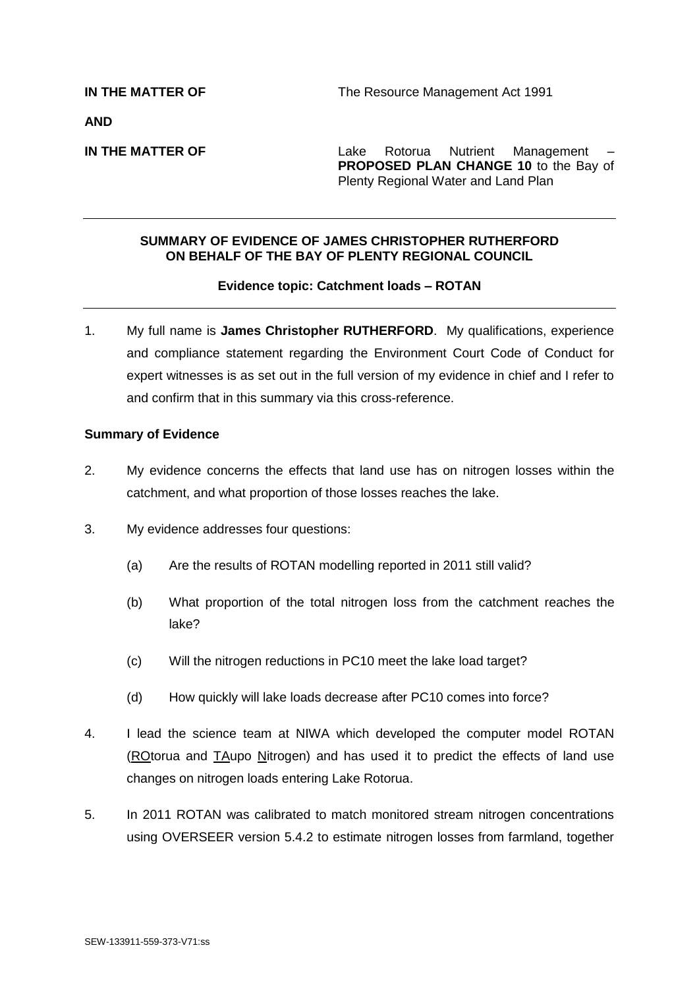**AND**

**IN THE MATTER OF THE SERVICE 2018** Lake Rotorua Nutrient Management **PROPOSED PLAN CHANGE 10** to the Bay of Plenty Regional Water and Land Plan

## **SUMMARY OF EVIDENCE OF JAMES CHRISTOPHER RUTHERFORD ON BEHALF OF THE BAY OF PLENTY REGIONAL COUNCIL**

## **Evidence topic: Catchment loads – ROTAN**

1. My full name is **James Christopher RUTHERFORD**. My qualifications, experience and compliance statement regarding the Environment Court Code of Conduct for expert witnesses is as set out in the full version of my evidence in chief and I refer to and confirm that in this summary via this cross-reference.

## **Summary of Evidence**

- 2. My evidence concerns the effects that land use has on nitrogen losses within the catchment, and what proportion of those losses reaches the lake.
- 3. My evidence addresses four questions:
	- (a) Are the results of ROTAN modelling reported in 2011 still valid?
	- (b) What proportion of the total nitrogen loss from the catchment reaches the lake?
	- (c) Will the nitrogen reductions in PC10 meet the lake load target?
	- (d) How quickly will lake loads decrease after PC10 comes into force?
- 4. I lead the science team at NIWA which developed the computer model ROTAN (ROtorua and TAupo Nitrogen) and has used it to predict the effects of land use changes on nitrogen loads entering Lake Rotorua.
- 5. In 2011 ROTAN was calibrated to match monitored stream nitrogen concentrations using OVERSEER version 5.4.2 to estimate nitrogen losses from farmland, together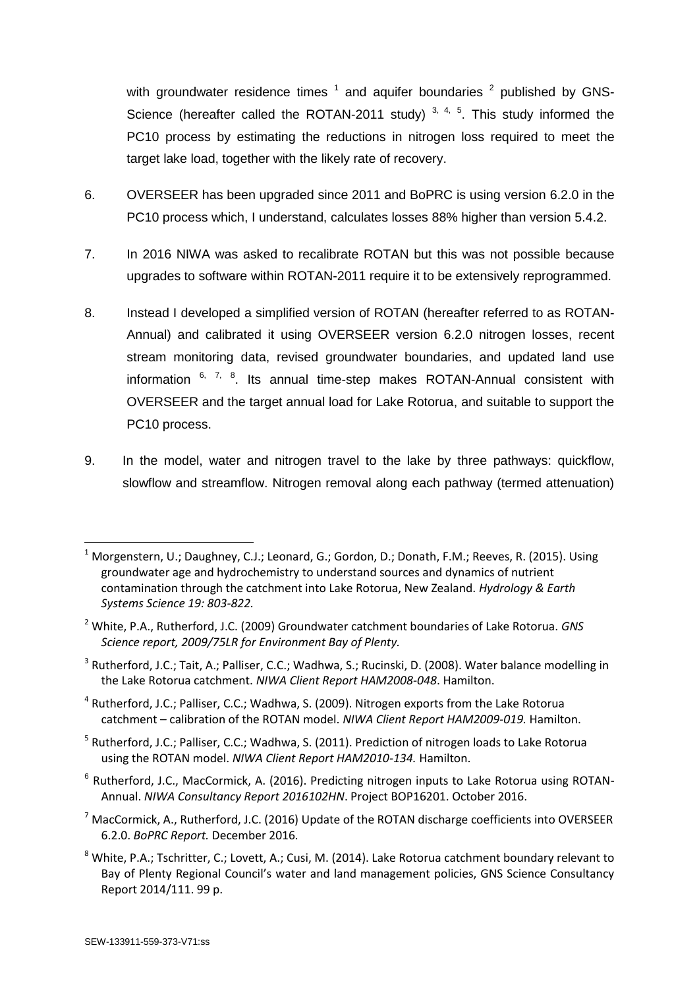with groundwater residence times  $1$  and aquifer boundaries  $2$  published by GNS-Science (hereafter called the ROTAN-2011 study)  $3, 4, 5$ . This study informed the PC10 process by estimating the reductions in nitrogen loss required to meet the target lake load, together with the likely rate of recovery.

- 6. OVERSEER has been upgraded since 2011 and BoPRC is using version 6.2.0 in the PC10 process which, I understand, calculates losses 88% higher than version 5.4.2.
- 7. In 2016 NIWA was asked to recalibrate ROTAN but this was not possible because upgrades to software within ROTAN-2011 require it to be extensively reprogrammed.
- 8. Instead I developed a simplified version of ROTAN (hereafter referred to as ROTAN-Annual) and calibrated it using OVERSEER version 6.2.0 nitrogen losses, recent stream monitoring data, revised groundwater boundaries, and updated land use information  $6, 7, 8$ . Its annual time-step makes ROTAN-Annual consistent with OVERSEER and the target annual load for Lake Rotorua, and suitable to support the PC10 process.
- 9. In the model, water and nitrogen travel to the lake by three pathways: quickflow, slowflow and streamflow. Nitrogen removal along each pathway (termed attenuation)

- <sup>4</sup> Rutherford, J.C.; Palliser, C.C.; Wadhwa, S. (2009). Nitrogen exports from the Lake Rotorua catchment – calibration of the ROTAN model. *NIWA Client Report HAM2009-019.* Hamilton.
- <sup>5</sup> Rutherford, J.C.; Palliser, C.C.; Wadhwa, S. (2011). Prediction of nitrogen loads to Lake Rotorua using the ROTAN model. *NIWA Client Report HAM2010-134.* Hamilton.
- <sup>6</sup> Rutherford, J.C., MacCormick, A. (2016). Predicting nitrogen inputs to Lake Rotorua using ROTAN-Annual. *NIWA Consultancy Report 2016102HN*. Project BOP16201. October 2016.
- $<sup>7</sup>$  MacCormick, A., Rutherford, J.C. (2016) Update of the ROTAN discharge coefficients into OVERSEER</sup> 6.2.0. *BoPRC Report.* December 2016*.*
- <sup>8</sup> White, P.A.; Tschritter, C.; Lovett, A.; Cusi, M. (2014). Lake Rotorua catchment boundary relevant to Bay of Plenty Regional Council's water and land management policies, GNS Science Consultancy Report 2014/111. 99 p.

-

<sup>&</sup>lt;sup>1</sup> Morgenstern, U.; Daughney, C.J.; Leonard, G.; Gordon, D.; Donath, F.M.; Reeves, R. (2015). Using groundwater age and hydrochemistry to understand sources and dynamics of nutrient contamination through the catchment into Lake Rotorua, New Zealand. *Hydrology & Earth Systems Science 19: 803-822.*

<sup>2</sup> White, P.A., Rutherford, J.C. (2009) Groundwater catchment boundaries of Lake Rotorua. *GNS Science report, 2009/75LR for Environment Bay of Plenty.*

<sup>&</sup>lt;sup>3</sup> Rutherford, J.C.; Tait, A.; Palliser, C.C.; Wadhwa, S.; Rucinski, D. (2008). Water balance modelling in the Lake Rotorua catchment. *NIWA Client Report HAM2008-048*. Hamilton.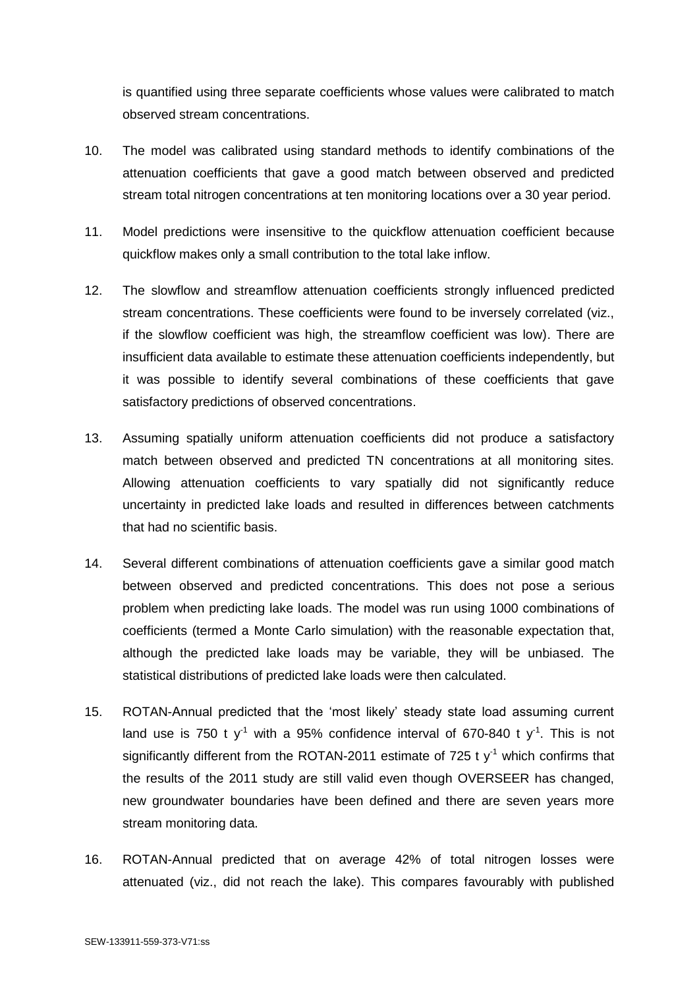is quantified using three separate coefficients whose values were calibrated to match observed stream concentrations.

- 10. The model was calibrated using standard methods to identify combinations of the attenuation coefficients that gave a good match between observed and predicted stream total nitrogen concentrations at ten monitoring locations over a 30 year period.
- 11. Model predictions were insensitive to the quickflow attenuation coefficient because quickflow makes only a small contribution to the total lake inflow.
- 12. The slowflow and streamflow attenuation coefficients strongly influenced predicted stream concentrations. These coefficients were found to be inversely correlated (viz., if the slowflow coefficient was high, the streamflow coefficient was low). There are insufficient data available to estimate these attenuation coefficients independently, but it was possible to identify several combinations of these coefficients that gave satisfactory predictions of observed concentrations.
- 13. Assuming spatially uniform attenuation coefficients did not produce a satisfactory match between observed and predicted TN concentrations at all monitoring sites. Allowing attenuation coefficients to vary spatially did not significantly reduce uncertainty in predicted lake loads and resulted in differences between catchments that had no scientific basis.
- 14. Several different combinations of attenuation coefficients gave a similar good match between observed and predicted concentrations. This does not pose a serious problem when predicting lake loads. The model was run using 1000 combinations of coefficients (termed a Monte Carlo simulation) with the reasonable expectation that, although the predicted lake loads may be variable, they will be unbiased. The statistical distributions of predicted lake loads were then calculated.
- 15. ROTAN-Annual predicted that the 'most likely' steady state load assuming current land use is 750 t y<sup>-1</sup> with a 95% confidence interval of 670-840 t y<sup>-1</sup>. This is not significantly different from the ROTAN-2011 estimate of 725 t  $y<sup>-1</sup>$  which confirms that the results of the 2011 study are still valid even though OVERSEER has changed, new groundwater boundaries have been defined and there are seven years more stream monitoring data.
- 16. ROTAN-Annual predicted that on average 42% of total nitrogen losses were attenuated (viz., did not reach the lake). This compares favourably with published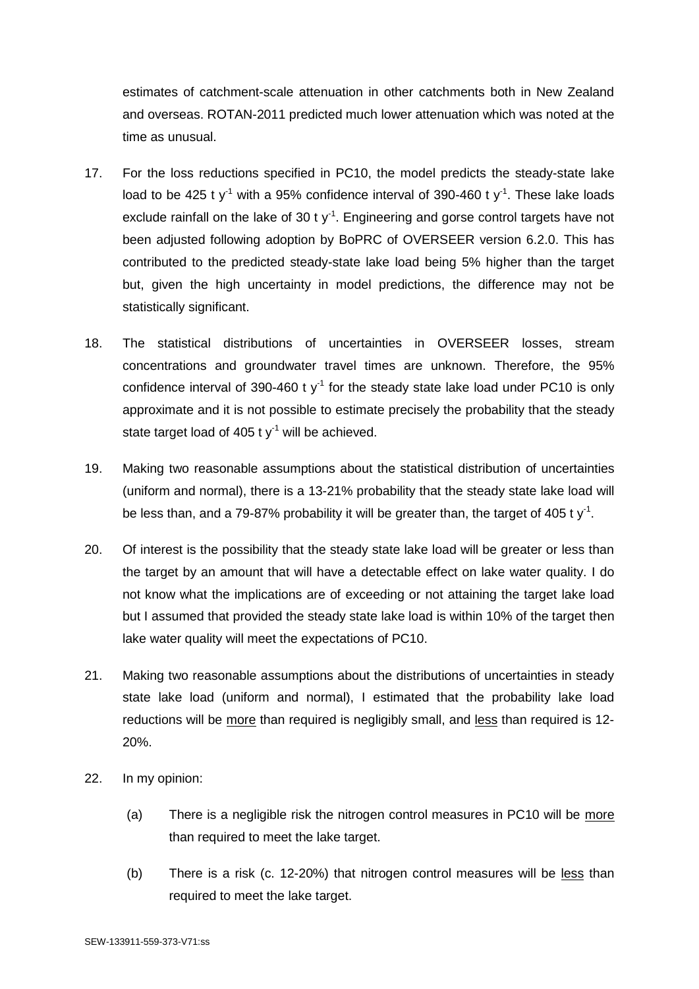estimates of catchment-scale attenuation in other catchments both in New Zealand and overseas. ROTAN-2011 predicted much lower attenuation which was noted at the time as unusual.

- 17. For the loss reductions specified in PC10, the model predicts the steady-state lake load to be 425 t y<sup>-1</sup> with a 95% confidence interval of 390-460 t y<sup>-1</sup>. These lake loads exclude rainfall on the lake of 30 t  $y^{-1}$ . Engineering and gorse control targets have not been adjusted following adoption by BoPRC of OVERSEER version 6.2.0. This has contributed to the predicted steady-state lake load being 5% higher than the target but, given the high uncertainty in model predictions, the difference may not be statistically significant.
- 18. The statistical distributions of uncertainties in OVERSEER losses, stream concentrations and groundwater travel times are unknown. Therefore, the 95% confidence interval of 390-460 t  $y<sup>-1</sup>$  for the steady state lake load under PC10 is only approximate and it is not possible to estimate precisely the probability that the steady state target load of 405 t  $y<sup>-1</sup>$  will be achieved.
- 19. Making two reasonable assumptions about the statistical distribution of uncertainties (uniform and normal), there is a 13-21% probability that the steady state lake load will be less than, and a 79-87% probability it will be greater than, the target of 405 t y<sup>-1</sup>.
- 20. Of interest is the possibility that the steady state lake load will be greater or less than the target by an amount that will have a detectable effect on lake water quality. I do not know what the implications are of exceeding or not attaining the target lake load but I assumed that provided the steady state lake load is within 10% of the target then lake water quality will meet the expectations of PC10.
- 21. Making two reasonable assumptions about the distributions of uncertainties in steady state lake load (uniform and normal), I estimated that the probability lake load reductions will be more than required is negligibly small, and less than required is 12- 20%.
- 22. In my opinion:
	- (a) There is a negligible risk the nitrogen control measures in PC10 will be more than required to meet the lake target.
	- (b) There is a risk (c. 12-20%) that nitrogen control measures will be less than required to meet the lake target.